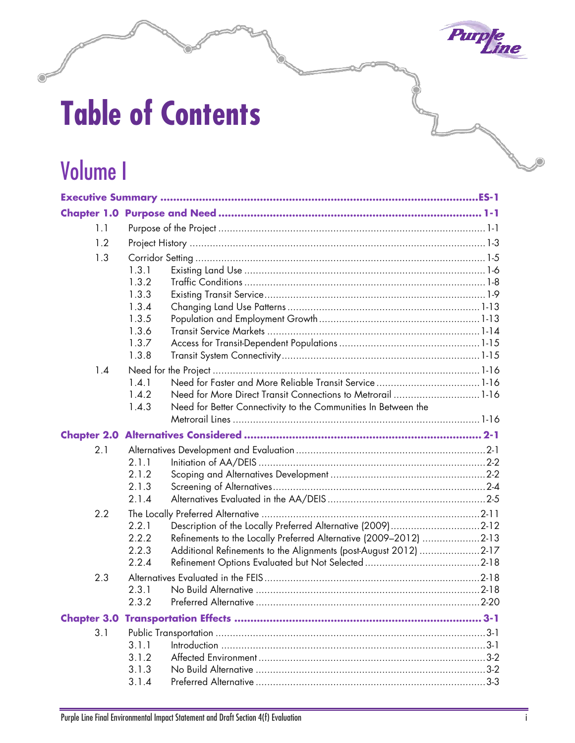

# **Table of Contents**

## Volume I

| 1.1 |                                                                                                                                                                                                                                          |  |
|-----|------------------------------------------------------------------------------------------------------------------------------------------------------------------------------------------------------------------------------------------|--|
| 1.2 |                                                                                                                                                                                                                                          |  |
| 1.3 | 1.3.1<br>1.3.2<br>1.3.3<br>1.3.4<br>1.3.5<br>1.3.6<br>1.3.7<br>1.3.8                                                                                                                                                                     |  |
| 1.4 | 1.4.1<br>1.4.2<br>Need for More Direct Transit Connections to Metrorail 1-16<br>1.4.3<br>Need for Better Connectivity to the Communities In Between the                                                                                  |  |
|     |                                                                                                                                                                                                                                          |  |
| 2.1 | 2.1.1<br>2.1.2<br>2.1.3<br>2.1.4                                                                                                                                                                                                         |  |
| 2.2 | 2.2.1<br>Description of the Locally Preferred Alternative (2009)2-12<br>Refinements to the Locally Preferred Alternative (2009-2012) 2-13<br>2.2.2<br>2.2.3<br>Additional Refinements to the Alignments (post-August 2012) 2-17<br>2.2.4 |  |
| 2.3 | 2.3.1<br>2.3.2                                                                                                                                                                                                                           |  |
|     |                                                                                                                                                                                                                                          |  |
| 3.1 | 3.1.1<br>3.1.2<br>3.1.3<br>3.1.4                                                                                                                                                                                                         |  |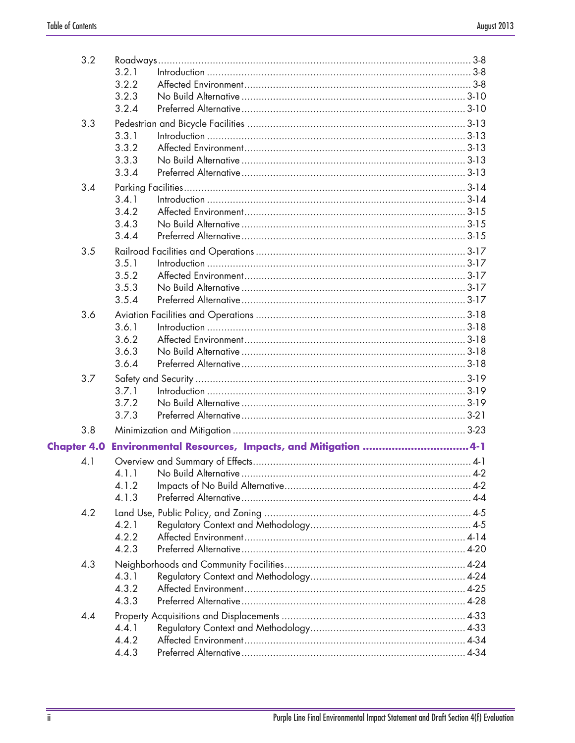| 3.2 | 3.2.1                                                            |  |
|-----|------------------------------------------------------------------|--|
|     | 3.2.2                                                            |  |
|     | 3.2.3                                                            |  |
|     | 3.2.4                                                            |  |
| 3.3 |                                                                  |  |
|     | 3.3.1                                                            |  |
|     | 3.3.2                                                            |  |
|     | 3.3.3                                                            |  |
|     | 3.3.4                                                            |  |
| 3.4 |                                                                  |  |
|     | 3.4.1                                                            |  |
|     | 3.4.2                                                            |  |
|     | 3.4.3                                                            |  |
|     | 3.4.4                                                            |  |
| 3.5 |                                                                  |  |
|     | 3.5.1                                                            |  |
|     | 3.5.2                                                            |  |
|     | 3.5.3                                                            |  |
|     | 3.5.4                                                            |  |
| 3.6 |                                                                  |  |
|     | 3.6.1                                                            |  |
|     | 3.6.2                                                            |  |
|     | 3.6.3                                                            |  |
|     | 3.6.4                                                            |  |
| 3.7 |                                                                  |  |
|     | 3.7.1                                                            |  |
|     | 3.7.2                                                            |  |
|     | 3.7.3                                                            |  |
| 3.8 |                                                                  |  |
|     | Chapter 4.0 Environmental Resources, Impacts, and Mitigation 4-1 |  |
| 4.1 |                                                                  |  |
|     | 4 a 1 a 1 No Build Alternative 4.2                               |  |
|     | 4.1.2                                                            |  |
|     | 4.1.3                                                            |  |
| 4.2 |                                                                  |  |
|     | 4.2.1                                                            |  |
|     | 4.2.2                                                            |  |
|     | 4.2.3                                                            |  |
| 4.3 |                                                                  |  |
|     | 4.3.1                                                            |  |
|     | 4.3.2                                                            |  |
|     | 4.3.3                                                            |  |
| 4.4 |                                                                  |  |
|     | 4.4.1                                                            |  |
|     | 4.4.2                                                            |  |
|     | 4.4.3                                                            |  |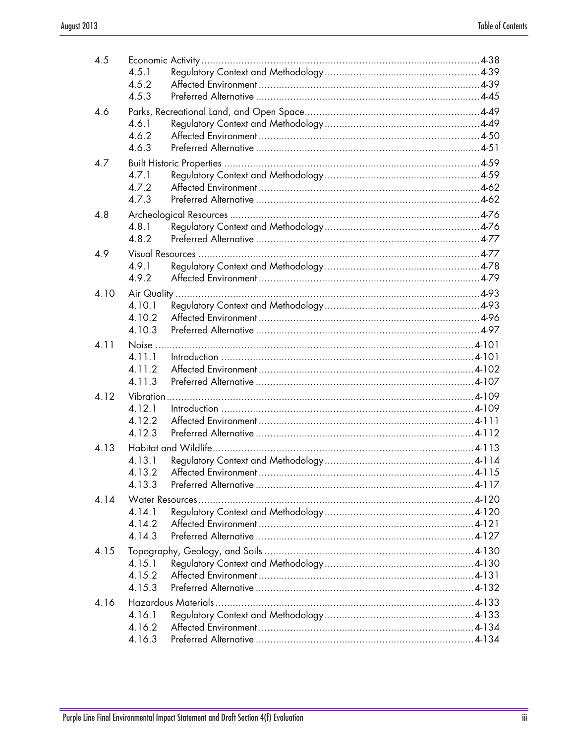| 4.5  |        |  |
|------|--------|--|
|      | 4.5.1  |  |
|      | 4.5.2  |  |
|      | 4.5.3  |  |
| 4.6  |        |  |
|      | 4.6.1  |  |
|      | 4.6.2  |  |
|      | 4.6.3  |  |
| 4.7  |        |  |
|      | 4.7.1  |  |
|      | 4.7.2  |  |
|      | 4.7.3  |  |
| 4.8  |        |  |
|      | 4.8.1  |  |
|      | 4.8.2  |  |
| 4.9  |        |  |
|      | 4.9.1  |  |
|      | 4.9.2  |  |
| 4.10 |        |  |
|      | 4.10.1 |  |
|      | 4.10.2 |  |
|      | 4.10.3 |  |
| 4.11 |        |  |
|      | 4.11.1 |  |
|      | 4.11.2 |  |
|      | 4.11.3 |  |
| 4.12 |        |  |
|      | 4.12.1 |  |
|      | 4.12.2 |  |
|      | 4.12.3 |  |
| 4.13 |        |  |
|      | 4.13.1 |  |
|      | 4 13 2 |  |
|      | 4.13.3 |  |
| 4.14 |        |  |
|      | 4.14.1 |  |
|      | 4.14.2 |  |
|      | 4.14.3 |  |
| 4.15 |        |  |
|      | 4.15.1 |  |
|      | 4.15.2 |  |
|      | 4.15.3 |  |
| 4.16 |        |  |
|      | 4.16.1 |  |
|      | 4.16.2 |  |
|      | 4.16.3 |  |
|      |        |  |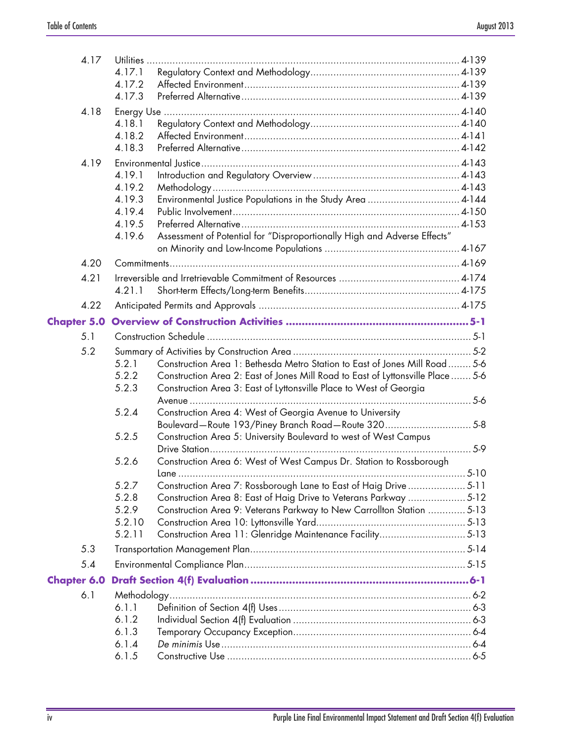|                    | 4.17 |                |                                                                                                                                            |        |
|--------------------|------|----------------|--------------------------------------------------------------------------------------------------------------------------------------------|--------|
|                    |      | 4.17.1         |                                                                                                                                            |        |
|                    |      | 4.17.2         |                                                                                                                                            |        |
|                    |      | 4.17.3         |                                                                                                                                            |        |
|                    | 4.18 |                |                                                                                                                                            |        |
|                    |      | 4.18.1         |                                                                                                                                            |        |
|                    |      | 4.18.2         |                                                                                                                                            |        |
|                    |      | 4.18.3         |                                                                                                                                            |        |
|                    | 4.19 |                |                                                                                                                                            |        |
|                    |      | 4.19.1         |                                                                                                                                            |        |
|                    |      | 4.19.2         |                                                                                                                                            |        |
|                    |      | 4.19.3         | Environmental Justice Populations in the Study Area  4-144                                                                                 |        |
|                    |      | 4.19.4         |                                                                                                                                            |        |
|                    |      | 4.19.5         |                                                                                                                                            |        |
|                    |      | 4.19.6         | Assessment of Potential for "Disproportionally High and Adverse Effects"                                                                   |        |
|                    |      |                |                                                                                                                                            |        |
|                    | 4.20 |                |                                                                                                                                            |        |
| 4.21               |      |                |                                                                                                                                            |        |
|                    |      | 4.21.1         |                                                                                                                                            |        |
|                    | 4.22 |                |                                                                                                                                            |        |
| <b>Chapter 5.0</b> |      |                |                                                                                                                                            |        |
| 5.1                |      |                |                                                                                                                                            |        |
| 5.2                |      |                |                                                                                                                                            |        |
|                    |      | 5.2.1          | Construction Area 1: Bethesda Metro Station to East of Jones Mill Road 5-6                                                                 |        |
|                    |      | 5.2.2          | Construction Area 2: East of Jones Mill Road to East of Lyttonsville Place  5-6                                                            |        |
|                    |      | 5.2.3          | Construction Area 3: East of Lyttonsville Place to West of Georgia                                                                         |        |
|                    |      |                |                                                                                                                                            |        |
|                    |      | 5.2.4          | Construction Area 4: West of Georgia Avenue to University                                                                                  |        |
|                    |      |                | Boulevard-Route 193/Piney Branch Road-Route 3205-8                                                                                         |        |
|                    |      | 5.2.5          | Construction Area 5: University Boulevard to west of West Campus                                                                           |        |
|                    |      |                |                                                                                                                                            |        |
|                    |      | 5.2.6          | Construction Area 6: West of West Campus Dr. Station to Rossborough                                                                        |        |
|                    |      |                | lane                                                                                                                                       | $5-10$ |
|                    |      | 5.2.7<br>5.2.8 | Construction Area 7: Rossborough Lane to East of Haig Drive5-11                                                                            |        |
|                    |      | 5.2.9          | Construction Area 8: East of Haig Drive to Veterans Parkway  5-12<br>Construction Area 9: Veterans Parkway to New Carrollton Station  5-13 |        |
|                    |      | 5.2.10         |                                                                                                                                            |        |
|                    |      | 5.2.11         | Construction Area 11: Glenridge Maintenance Facility 5-13                                                                                  |        |
| 5.3                |      |                |                                                                                                                                            |        |
| 5.4                |      |                |                                                                                                                                            |        |
|                    |      |                |                                                                                                                                            |        |
| <b>Chapter 6.0</b> |      |                |                                                                                                                                            |        |
| 6.1                |      |                |                                                                                                                                            |        |
|                    |      | 6.1.1          |                                                                                                                                            |        |
|                    |      | 6.1.2          |                                                                                                                                            |        |
|                    |      | 6.1.3<br>6.1.4 |                                                                                                                                            |        |
|                    |      | 6.1.5          |                                                                                                                                            |        |
|                    |      |                |                                                                                                                                            |        |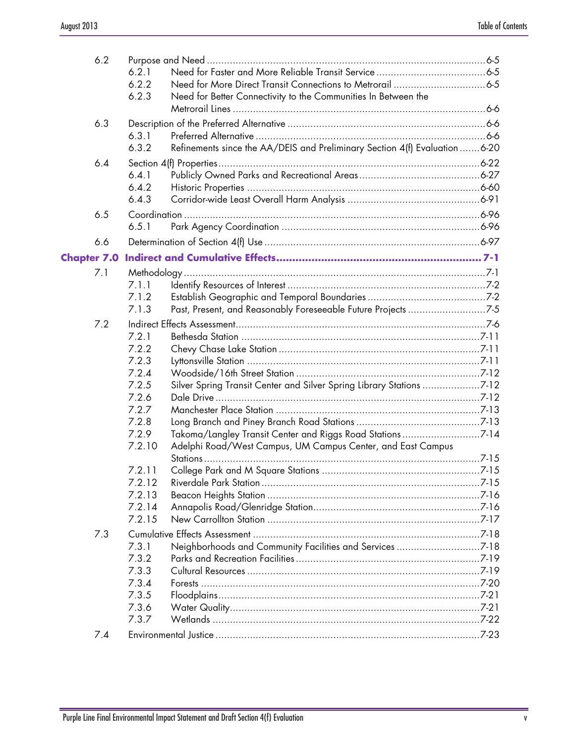| 6.2                |                  |                                                                            |  |
|--------------------|------------------|----------------------------------------------------------------------------|--|
|                    | 6.2.1<br>6.2.2   |                                                                            |  |
|                    | 6.2.3            | Need for Better Connectivity to the Communities In Between the             |  |
|                    |                  |                                                                            |  |
| 6.3                |                  |                                                                            |  |
|                    | 6.3.1            |                                                                            |  |
|                    | 6.3.2            | Refinements since the AA/DEIS and Preliminary Section 4(f) Evaluation 6-20 |  |
| 6.4                |                  |                                                                            |  |
|                    | 6.4.1            |                                                                            |  |
|                    | 6.4.2<br>6.4.3   |                                                                            |  |
|                    |                  |                                                                            |  |
| 6.5                |                  |                                                                            |  |
|                    | 6.5.1            |                                                                            |  |
| 6.6                |                  |                                                                            |  |
| <b>Chapter 7.0</b> |                  |                                                                            |  |
| 7.1                |                  |                                                                            |  |
|                    | 7.1.1            |                                                                            |  |
|                    | 7.1.2            |                                                                            |  |
|                    | 7.1.3            | Past, Present, and Reasonably Foreseeable Future Projects 7-5              |  |
| 7.2                |                  |                                                                            |  |
|                    | 7.2.1            |                                                                            |  |
|                    | 7.2.2<br>7.2.3   |                                                                            |  |
|                    | 7.2.4            |                                                                            |  |
|                    | 7.2.5            | Silver Spring Transit Center and Silver Spring Library Stations 7-12       |  |
|                    | 7.2.6            |                                                                            |  |
|                    | 7.2.7            |                                                                            |  |
|                    | 7.2.8            |                                                                            |  |
|                    | 7.2.9            | Takoma/Langley Transit Center and Riggs Road Stations7-14                  |  |
|                    | 7.2.10           | Adelphi Road/West Campus, UM Campus Center, and East Campus                |  |
|                    |                  |                                                                            |  |
|                    | 7.2.11<br>7.2.12 |                                                                            |  |
|                    | 7.2.13           |                                                                            |  |
|                    | 7.2.14           |                                                                            |  |
|                    | 7.2.15           |                                                                            |  |
| 7.3                |                  |                                                                            |  |
|                    | 7.3.1            |                                                                            |  |
|                    | 7.3.2            |                                                                            |  |
|                    | 7.3.3            |                                                                            |  |
|                    | 7.3.4            |                                                                            |  |
|                    | 7.3.5            |                                                                            |  |
|                    | 7.3.6            |                                                                            |  |
|                    | 7.3.7            |                                                                            |  |
| 7.4                |                  |                                                                            |  |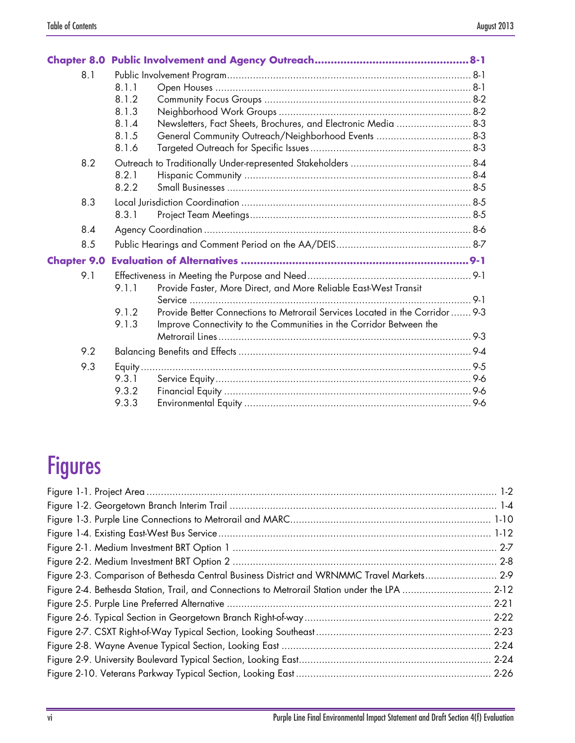| 8.1                |                                                                                        |  |
|--------------------|----------------------------------------------------------------------------------------|--|
|                    | 8.1.1                                                                                  |  |
|                    | 8.1.2                                                                                  |  |
|                    | 8.1.3                                                                                  |  |
|                    | Newsletters, Fact Sheets, Brochures, and Electronic Media  8-3<br>8.1.4                |  |
|                    | 8.1.5<br>General Community Outreach/Neighborhood Events  8-3                           |  |
|                    | 8.1.6                                                                                  |  |
| 8.2                |                                                                                        |  |
|                    | 8.2.1                                                                                  |  |
|                    | 8.2.2                                                                                  |  |
| 8.3                |                                                                                        |  |
|                    | 8.3.1                                                                                  |  |
| 8.4                |                                                                                        |  |
| 8.5                |                                                                                        |  |
| <b>Chapter 9.0</b> |                                                                                        |  |
| 9.1                |                                                                                        |  |
|                    | Provide Faster, More Direct, and More Reliable East-West Transit<br>9.1.1              |  |
|                    |                                                                                        |  |
|                    | Provide Better Connections to Metrorail Services Located in the Corridor  9-3<br>9.1.2 |  |
|                    | 9.1.3<br>Improve Connectivity to the Communities in the Corridor Between the           |  |
|                    |                                                                                        |  |
| 9.2                |                                                                                        |  |
| 9.3                |                                                                                        |  |
|                    | 9.3.1                                                                                  |  |
|                    | 9.3.2                                                                                  |  |
|                    | 9.3.3                                                                                  |  |

#### Figures

| Figure 2-3. Comparison of Bethesda Central Business District and WRNMMC Travel Markets 2-9    |  |
|-----------------------------------------------------------------------------------------------|--|
| Figure 2-4. Bethesda Station, Trail, and Connections to Metrorail Station under the LPA  2-12 |  |
|                                                                                               |  |
|                                                                                               |  |
|                                                                                               |  |
|                                                                                               |  |
|                                                                                               |  |
|                                                                                               |  |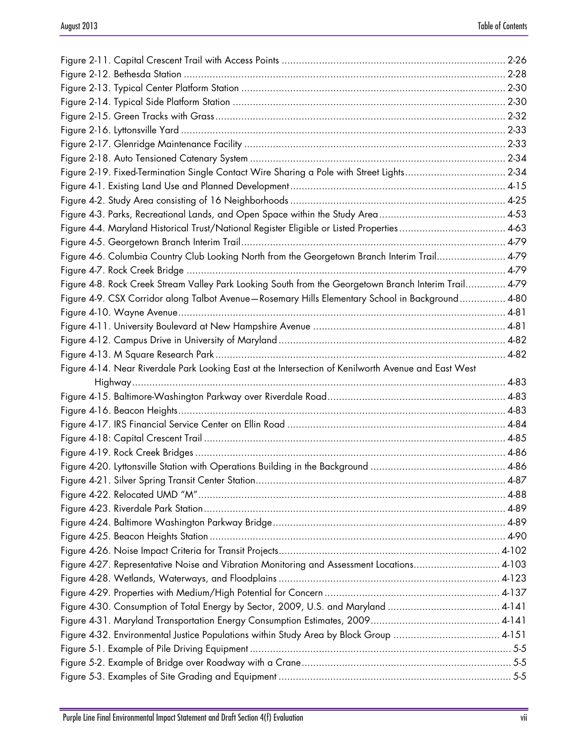| Figure 2-19. Fixed-Termination Single Contact Wire Sharing a Pole with Street Lights 2-34             |  |
|-------------------------------------------------------------------------------------------------------|--|
|                                                                                                       |  |
|                                                                                                       |  |
|                                                                                                       |  |
| Figure 4-4. Maryland Historical Trust/National Register Eligible or Listed Properties 4-63            |  |
|                                                                                                       |  |
| Figure 4-6. Columbia Country Club Looking North from the Georgetown Branch Interim Trail 4-79         |  |
|                                                                                                       |  |
| Figure 4-8. Rock Creek Stream Valley Park Looking South from the Georgetown Branch Interim Trail 4-79 |  |
| Figure 4-9. CSX Corridor along Talbot Avenue-Rosemary Hills Elementary School in Background 4-80      |  |
|                                                                                                       |  |
|                                                                                                       |  |
|                                                                                                       |  |
|                                                                                                       |  |
|                                                                                                       |  |
| Figure 4-14. Near Riverdale Park Looking East at the Intersection of Kenilworth Avenue and East West  |  |
|                                                                                                       |  |
|                                                                                                       |  |
|                                                                                                       |  |
|                                                                                                       |  |
|                                                                                                       |  |
|                                                                                                       |  |
|                                                                                                       |  |
|                                                                                                       |  |
|                                                                                                       |  |
|                                                                                                       |  |
|                                                                                                       |  |
|                                                                                                       |  |
|                                                                                                       |  |
| Figure 4-27. Representative Noise and Vibration Monitoring and Assessment Locations 4-103             |  |
|                                                                                                       |  |
|                                                                                                       |  |
| Figure 4-30. Consumption of Total Energy by Sector, 2009, U.S. and Maryland  4-141                    |  |
|                                                                                                       |  |
| Figure 4-32. Environmental Justice Populations within Study Area by Block Group  4-151                |  |
|                                                                                                       |  |
|                                                                                                       |  |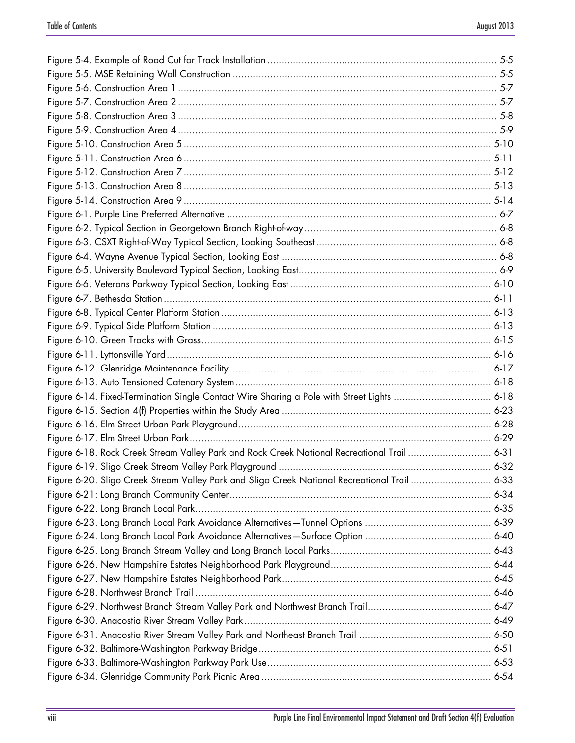| Figure 6-18. Rock Creek Stream Valley Park and Rock Creek National Recreational Trail  6-31   |  |
|-----------------------------------------------------------------------------------------------|--|
|                                                                                               |  |
| Figure 6-20. Sligo Creek Stream Valley Park and Sligo Creek National Recreational Trail  6-33 |  |
|                                                                                               |  |
|                                                                                               |  |
|                                                                                               |  |
|                                                                                               |  |
|                                                                                               |  |
|                                                                                               |  |
|                                                                                               |  |
|                                                                                               |  |
|                                                                                               |  |
|                                                                                               |  |
|                                                                                               |  |
|                                                                                               |  |
|                                                                                               |  |
|                                                                                               |  |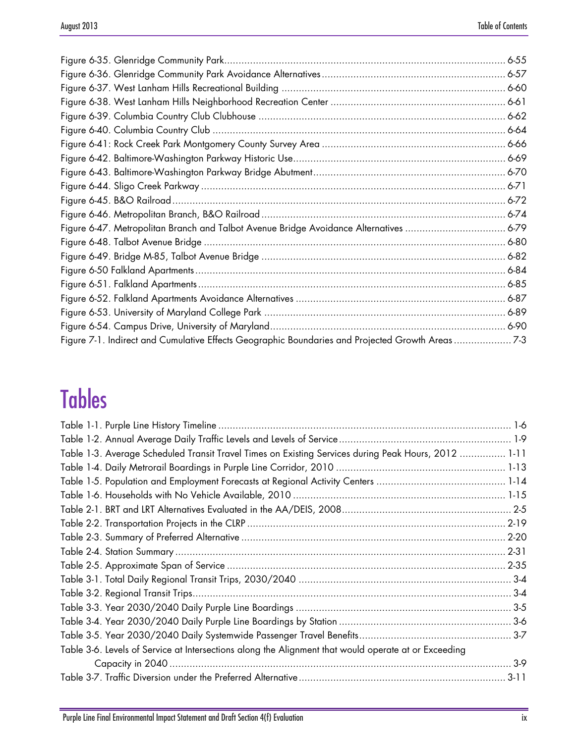| Figure 7-1. Indirect and Cumulative Effects Geographic Boundaries and Projected Growth Areas 7-3 |  |
|--------------------------------------------------------------------------------------------------|--|

# Tables

| Table 1-3. Average Scheduled Transit Travel Times on Existing Services during Peak Hours, 2012  1-11 |  |
|------------------------------------------------------------------------------------------------------|--|
|                                                                                                      |  |
|                                                                                                      |  |
|                                                                                                      |  |
|                                                                                                      |  |
|                                                                                                      |  |
|                                                                                                      |  |
|                                                                                                      |  |
|                                                                                                      |  |
|                                                                                                      |  |
|                                                                                                      |  |
|                                                                                                      |  |
|                                                                                                      |  |
|                                                                                                      |  |
| Table 3-6. Levels of Service at Intersections along the Alignment that would operate at or Exceeding |  |
|                                                                                                      |  |
|                                                                                                      |  |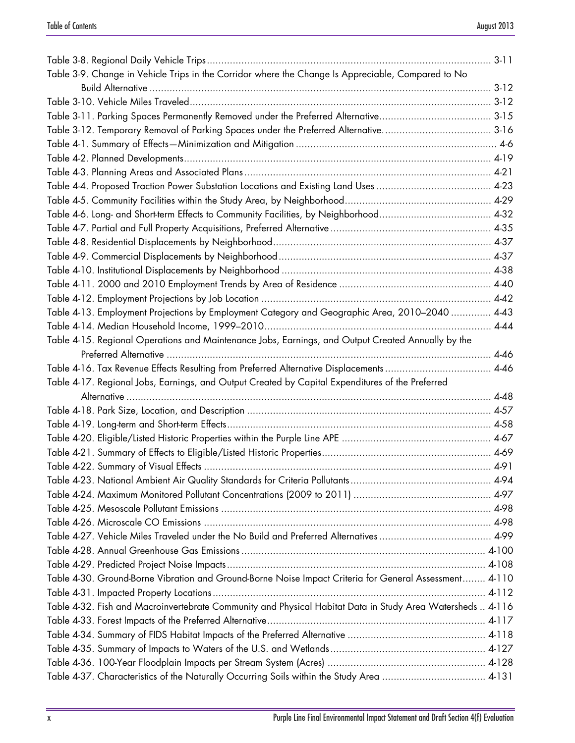| Table 3-9. Change in Vehicle Trips in the Corridor where the Change Is Appreciable, Compared to No         |  |
|------------------------------------------------------------------------------------------------------------|--|
|                                                                                                            |  |
|                                                                                                            |  |
|                                                                                                            |  |
|                                                                                                            |  |
|                                                                                                            |  |
|                                                                                                            |  |
|                                                                                                            |  |
|                                                                                                            |  |
|                                                                                                            |  |
|                                                                                                            |  |
|                                                                                                            |  |
|                                                                                                            |  |
|                                                                                                            |  |
|                                                                                                            |  |
|                                                                                                            |  |
|                                                                                                            |  |
| Table 4-13. Employment Projections by Employment Category and Geographic Area, 2010-2040  4-43             |  |
|                                                                                                            |  |
| Table 4-15. Regional Operations and Maintenance Jobs, Earnings, and Output Created Annually by the         |  |
|                                                                                                            |  |
| Table 4-16. Tax Revenue Effects Resulting from Preferred Alternative Displacements 4-46                    |  |
|                                                                                                            |  |
| Table 4-17. Regional Jobs, Earnings, and Output Created by Capital Expenditures of the Preferred           |  |
|                                                                                                            |  |
|                                                                                                            |  |
|                                                                                                            |  |
|                                                                                                            |  |
|                                                                                                            |  |
|                                                                                                            |  |
|                                                                                                            |  |
|                                                                                                            |  |
|                                                                                                            |  |
|                                                                                                            |  |
|                                                                                                            |  |
|                                                                                                            |  |
|                                                                                                            |  |
| Table 4-30. Ground-Borne Vibration and Ground-Borne Noise Impact Criteria for General Assessment 4-110     |  |
|                                                                                                            |  |
| Table 4-32. Fish and Macroinvertebrate Community and Physical Habitat Data in Study Area Watersheds  4-116 |  |
|                                                                                                            |  |
|                                                                                                            |  |
|                                                                                                            |  |
| Table 4-37. Characteristics of the Naturally Occurring Soils within the Study Area  4-131                  |  |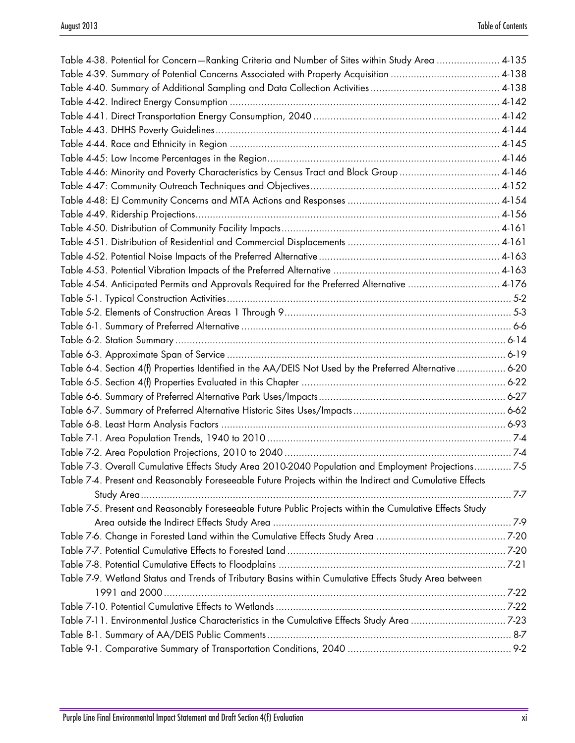| Table 4-38. Potential for Concern-Ranking Criteria and Number of Sites within Study Area  4-135          |  |
|----------------------------------------------------------------------------------------------------------|--|
|                                                                                                          |  |
|                                                                                                          |  |
|                                                                                                          |  |
|                                                                                                          |  |
|                                                                                                          |  |
|                                                                                                          |  |
|                                                                                                          |  |
| Table 4-46: Minority and Poverty Characteristics by Census Tract and Block Group 4-146                   |  |
|                                                                                                          |  |
|                                                                                                          |  |
|                                                                                                          |  |
|                                                                                                          |  |
|                                                                                                          |  |
|                                                                                                          |  |
|                                                                                                          |  |
| Table 4-54. Anticipated Permits and Approvals Required for the Preferred Alternative  4-176              |  |
|                                                                                                          |  |
|                                                                                                          |  |
|                                                                                                          |  |
|                                                                                                          |  |
|                                                                                                          |  |
| Table 6-4. Section 4(f) Properties Identified in the AA/DEIS Not Used by the Preferred Alternative 6-20  |  |
|                                                                                                          |  |
|                                                                                                          |  |
|                                                                                                          |  |
|                                                                                                          |  |
|                                                                                                          |  |
|                                                                                                          |  |
| Table 7-3. Overall Cumulative Effects Study Area 2010-2040 Population and Employment Projections7-5      |  |
| Table 7-4. Present and Reasonably Foreseeable Future Projects within the Indirect and Cumulative Effects |  |
|                                                                                                          |  |
| Table 7-5. Present and Reasonably Foreseeable Future Public Projects within the Cumulative Effects Study |  |
|                                                                                                          |  |
|                                                                                                          |  |
|                                                                                                          |  |
|                                                                                                          |  |
| Table 7-9. Wetland Status and Trends of Tributary Basins within Cumulative Effects Study Area between    |  |
|                                                                                                          |  |
|                                                                                                          |  |
| Table 7-11. Environmental Justice Characteristics in the Cumulative Effects Study Area 7-23              |  |
|                                                                                                          |  |
|                                                                                                          |  |